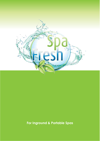

# For Inground & Portable Spas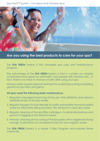

## **Are you using the best products to care for your spa?**

The **SPA FRESH** System is the complete spa care and maintenance program.

The advantage of the **SPA FRESH** System is that it contains no chlorine or bromine and is great for asthmatics and people with sensitive skin. In fact, there is no need to shower or bath after using your spa.

Hot spa water requires special treatment to avoid it becoming a breeding ground for bacteria and germs.

### **All spas need the following basic maintenance.**

- 1. Regularly managed balancing of the pH, total alkalinity and calcium hardness levels of the spa water.
- 2. Regular dosage of a bactericide to clarify and sanitise the recirculated water by effectively killing bacteria. This will result in clear spa water.
- 3. Regular cleaning of the spa filter cartridge/s, to eliminate build-up and prevent clogging of the element pores.
- 4. Periodic cleaning and scouring of the spa pipes with a degreaser strong enough to eliminate accumulated body fats and organic waste.

The **SPA FRESH** System is a simple 3 Step Program and requires fewer chemicals.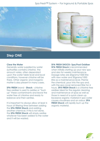



## **Step ONE**

#### **Clear the Water**

Generally water supplied by water authorities contains chlorine. The amount varies, often dependant upon the water table level and local conditions, however chlorine will be there. Other organic and inorganic matter is also present in many cases.

**SPA FRESH** brand - **Shock** - chlorine free oxidiser is used to oxidise or "burn up" these contaminants and leave the water free of chlorine and ready to balance and then sanitise.

It is important to always allow at least 4 hours of filtering time between adding the **SPA FRESH Shock** and adding another chemical. If this is not done, the **SPA FRESH Shock** will simply oxidise whatever has been added to the water and it will be wasted.

#### **SPA FRESH SHOCK– Spa/Pool Oxidiser**

**SPA FRESH Shock** is recommended when initially starting up your new spa and also for weekly maintenance. Dosage rates are 60grams/1000 litre with new water and 30grams/1000 litre as a maintenance level. Premix the chemical, pour into the spa and, with the spa cover removed filter for 4 hours. **SPA FRESH Shock** is a chlorine free oxidiser ideal for the regular cleaning and maintenance of spas as well as those in need of a quick clean up. Excessive organic material in spa water causes cloudiness and an odour. **SPA FRESH Shock** will rapidly burn up the organic material.

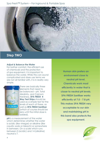

## **Step TWO**

#### **Adjust & Balance the Water**

For bather comfort, the efficient use of chemicals and the protection of spa equipment, it is important to balance the water. While this can sound complicated and does use terms we are not all familiar with, it is in reality very simple.



There are basically three elements that need to be balanced – pH, Total Alkalinity, and Calcium Hardness. **SPA FRESH 4 Way Test Strips** should be used as a simple test for the levels of each of these, as well as **SPA FRESH Sanitiser** (which of course should be zero until the initial dose is added).

**pH** is a measurement of the water which determines whether the water is acidic (like vinegar) or alkaline (like caustic soda or bleach) or somewhere in between. On a scale which runs between 0 (acidic) and 14 (alkaline) neutral is 7.

**Human skin prefers an environment close to neutral pH level. Chemicals work most efficiently in water that is closer to neutral pH levels. SPA FRESH Sanitiser works efficiently at 7.0 - 7.8 pH. This makes SPA FRESH very acceptable to our skin and maintaining pH in this band also protects the spa equipment.**

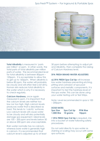

**Total Alkalinity** is measured in 'parts' per million' or ppm. In other words, the total parts of total alkalinity per million parts of water. The recommended level for total alkalinity is between 80ppm – 120ppm. It is acceptable to allow this to get up to 160ppm. When alkalinity is below 80 ppm, the water will probably be cloudy and will often feel a bit slimy. Human skin reduces total alkalinity in the water which is why it is necessary to check regularly.

**Calcium Hardness,** once again measured in ppm, it is important that the calcium levels are neither too low nor too high. High calcium levels produces water that is described as hard. This tends to 'calcify' surfaces. Low calcium levels will cause water to be cloudy and will also potentially damage spa equipment. Ideal levels are 100 – 200 ppm and levels below 50 or above 200 ppm are unacceptable.

Rain water normally has no calcium, whereas bore water is generally high in calcium. It is recommended that calcium level is adjusted up to at least 30 ppm before attempting to adjust pH and Alkalinity, then complete the raising of Calcium Hardness level.

#### **SPA FRESH BRAND WATER ADJUSTERS**

**a) SPA FRESH Spa Cal Up** will increase low water hardness preventing etching, pitting and corrosion of spa pool surfaces and metallic components. It is important to test the hardness level of the spa water. This can be done using your water testing unit or Test Strips.

Note: Level recommended in spas is 100 – 200ppm.

#### **DOSE RATES**

| Spa Size           | Spa Cal Up | <b>PPM Rise</b> |  |  |
|--------------------|------------|-----------------|--|--|
| <b>1,000 litre</b> | 10 grams   | 10ppm           |  |  |

If **SPA FRESH Spa Cal Up** is required, mix into a bucket of water following safety procedures.

Do not add directly to spa water as staining or scaling may occur with some spa surfaces.

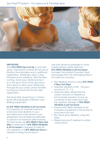

#### **IMPORTANT**

Add **SPA FRESH Spa Cal Up** in one third doses, followed by at least 30 minutes of filtration time between each additional application. (Preferably allow a day between each addition). With the filter running, slowly pour diluted product in to the spa in front of the spa return. This is done to allow even distribution through the spa water. Leave the filter running for at least 30 minutes after application.

Test level after several hours. Correct levels will prolong life of filtration and filtering equipment.

#### **b) SPA FRESH Alkalinity & pH Increaser**

It is important to maintain balance of pH and total alkalinity in your spa. Balanced water protects your equipment and enables bactericides to perform at maximum effectiveness. For best results use **SPA FRESH 4 Way Test Strip** to determine if **SPA FRESH Alkalinity & pH Increaser** is required to raise pH and alkalinity or if **SPA FRESH pH Down** is needed to bring the pH down.

Use both products sparingly to avoid overshooting in either direction. **SPA FRESH Alkalinity & pH Increaser**  has been formulated to protect heat exchangers from the damaging effects of scale and corrosion.

- Test alkalinity & pH by using **SPA FRESH 4 Way Test Strips**
- Maintain alkalinity at 80 120 ppm and pH at 7.2 - 7.6
- Using the label, determine the correct amount of Alkalinity & pH Increaser required. Scoop up container of spa water and add the required dosage of **SPA FRESH Alkalinity & pH Increaser**
- Dissolve SPA FRESH Alkalinity & pH Increaser completely in the bucket & pour back into spa.
- Re-check pH & alkalinity using Test Strips.
- Repeat process if needed to attain correct level.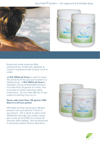

Balanced water improves filter performance. Check pH, alkalinity & calcium hardness levels at least once a week.

**c) SPA FRESH pH Down** is used to lower the pH level of the spa pool water to a desired level. If **SPA FRESH pH Down** is required, mix recommended amount, no more than 50 grams at a time, into a bucket of water, following safety instructions. Do not add directly to spa water as staining may occur.

#### **Never add more than 100 grams/1000 litres in a 24 hour period.**

With filter running, slowly pour diluted product into spa directly in front of spa returns. This is done to allow even distribution through spa water. Leave spa cover off and filter for at least 30 minutes after adding. Test pH level and if necessary repeat above directions.



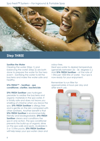

## **Step THREE**

#### **Sanitise the Water**

Clearing the water (Step 1) and balancing the water (Step 2) are both done to prepare the water for the hero event – Sanitising the water to kill the bacteria and make the water safe and healthy.

#### **SPA FRESH™ - Sanitiser - spa conditioner, clarifier, bactericide**

**SPA FRESH Sanitiser** uses hydrogen peroxide to oxidise the bacteria and organic materials in the spa water. It is totally safe and does not leave you smelling of chlorine when you leave the spa. **SPA FRESH Sanitiser** is allergy free and is gentle on the skin compared with other sanitisers. Another benefit is that **SPA FRESH Sanitiser** is environmentally friendly and biodegradable. **SPA FRESH Sanitiser** cleans and conditions the spa in one action. The spa conditioner prevents the build-up of organic slime on the spa walls and seats. Available in 5 or 15 litre packs, **SPA FRESH Sanitiser**  will help keep your spa water clear and

odour free.

Heat spa water to desired temperature (generally between 26 – 36 degrees C.) Add **SPA FRESH Sanitiser** – at the rate of 1 litre per 1000 litre of water. Your spa is now ready for your enjoyment.

Remember to run filter for approximately 4 hours per day and after each use.

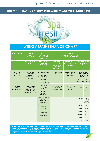## **Spa MAINTENANCE ~ Estimated Weekly Chemical Dose Rate**



# **WEEKLY MAINTENANCE CHART**

| <b>SPA USAGE</b>                                     | STEP <sub>1</sub><br><b>SHOCK</b>                                                                                | STEP <sub>2</sub><br><b>BALANCE</b><br><b>WATER</b>                                                                               | STEP <sub>3</sub><br><b>SANITISE WATER</b>                                                              |                                                               |                                                                                                                                  |                                                         |
|------------------------------------------------------|------------------------------------------------------------------------------------------------------------------|-----------------------------------------------------------------------------------------------------------------------------------|---------------------------------------------------------------------------------------------------------|---------------------------------------------------------------|----------------------------------------------------------------------------------------------------------------------------------|---------------------------------------------------------|
|                                                      | <b>USING SPA FRESH</b><br><b>SHOCK</b>                                                                           | <b>USING SPA FRESH</b><br><b>BALANCING</b><br><b>PRODUCTS</b>                                                                     | <b>SPA FRESH</b><br><b>SANITISER</b><br>(Conditioner,<br><b>Clarifier &amp;</b><br><b>Bactericide</b> ) | <b>IF USING OZONE</b><br>OR NATURE 2 WITH<br><b>SPA FRESH</b> | <b>USING SPA FRESH</b><br><b>PEROXIDE TEST</b><br><b>STRIPS</b>                                                                  |                                                         |
| <b>HIGH USE</b><br>$2 - 4$ PEOPLE<br><b>EVERYDAY</b> | ADD 30g/1000L<br>FILTER FOR 4 hrs<br><b>BEFORE</b><br><b>ADDING OTHER</b><br><b>PRODUCTS</b>                     | <b>CHECK EVERY WEEK</b><br><b>pH LEVEL</b><br>Ideal level pH 7.2 - 7.6<br>If low pH add<br><b>SPA FRESH</b><br>pH & ALKALINITY UP | ADD 750mL/1000L<br>(PER WEEK)                                                                           | ADD 550 - 650mL<br><b>PER 1000L</b><br>(PER WEEK)             | <b>SPA SHOULD BE</b><br><b>MAINTAINTED AT</b><br>100ppm OF SPA<br><b>SANITISER</b><br>DO NOT ALLOW TO<br><b>DROP BELOW 40ppm</b> |                                                         |
| <b>AVERAGE USE</b><br>2-4 PEOPLE<br>2-3 TIMES/WEEK   | <b>EVERY 2 WEEKS</b><br>ADD 30g/1000L<br><b>FILTER FOR 4hrs</b><br><b>BEFORE ADDING</b><br><b>OTHER PRODUCTS</b> | If high pH add<br><b>SPA FRESH</b><br>pH DOWN<br><b>ALKALINITY</b><br><b>Ideal</b> level<br>80-120ppm                             | ADD 500mL/1000L<br>(PER WEEK)<br>(2 MEASURE JUGS)                                                       | ADD 375 - 400mL<br><b>PER 1000L</b><br>(PER WEEK)             | <b>IF TEST IS</b><br><b>SHOWING</b><br><b>PPM</b>                                                                                | <b>ADD</b><br><b>SPA</b><br><b>SANITISER</b><br>mL/100L |
|                                                      |                                                                                                                  | If higher to reduce<br>pH level<br>dump 1/3 of<br>water & refill                                                                  |                                                                                                         |                                                               | 100ppm                                                                                                                           | NIL.<br><b>CHECK</b><br><b>AGAIN</b><br>IN 2 DAYS       |
|                                                      |                                                                                                                  | <b>CALCIUM HARDNESS</b><br><b>Ideal</b> level                                                                                     |                                                                                                         |                                                               | 100ppm                                                                                                                           | 0 <sub>ml</sub>                                         |
|                                                      |                                                                                                                  | 100 - 200ppm                                                                                                                      |                                                                                                         |                                                               | 60ppm                                                                                                                            | 270ml                                                   |
|                                                      |                                                                                                                  | If low add<br><b>SPA FRESH</b><br>CAL UP<br>If high check                                                                         |                                                                                                         |                                                               | 40ppm                                                                                                                            | 400ml                                                   |
|                                                      |                                                                                                                  |                                                                                                                                   |                                                                                                         |                                                               | 20ppm                                                                                                                            | 570ml                                                   |
|                                                      |                                                                                                                  | <b>TDS</b> levels                                                                                                                 |                                                                                                         |                                                               | 10ppm                                                                                                                            | 650ml                                                   |
|                                                      |                                                                                                                  |                                                                                                                                   |                                                                                                         |                                                               | 0ppm                                                                                                                             | 1000ml                                                  |

Leave cover off while Spa Shock is in use. After heavier than normal use - add Spa Shock, filter for 4hrs, check **balance of water and when O.K. recharge Spa Fresh Spa Sanitiser level. Clean filter cartridges regulary with Spa Fresh Filter Cleaner only. NEVER clean filters using products containing chlorine. If algae are present, treat water with Algercide as directed.**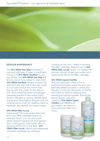

#### **REGULAR MAINTENANCE**

The **SPA FRESH Test Strip** is simple to use and indicates if there is a sufficient amount of **SPA FRESH Sanitiser** in your spa Water. The **SPA FRESH Test Strip** will let you know if you need to add more **SPA FRESH Sanitiser**. Simply remove the strip from the vial, swirl in the spa water in a circular motion for 3 turns then line up with the scale on the side of the vial to read the level of hydrogen peroxide present in the water. Ideal level is 100 ppm or above. NEVER allow the level to drop below 40 ppm. See the maintenance chart for addition rates to replenish the sanitizer to correct levels

#### **SPA FRESH Filter Scrub**

Some body fats cannot be removed from your filter cartridge simply by hosing it down. Just as cold water alone doesn't remove fat and grease from a frying pan, cold water will not remove all the fats in the filter. **SPA FRESH Filter Scrub** cleans and degreases your filter cartridges by oxidising -

burning up the fats – without harming the filter cartridge. Regular use of **SPA FRESH Filter Scrub** (every 1-2 weeks) will prevent cloudy, smelly spa water and prolong the life of the filter cartridge.

#### **SPA FRESH Liquid Clarifier**

Very occasionally, when a lot of bathers have been using the spa and perhaps debris has been carried into the spa, it may be necessary to Clarify the water to assist in clearing and restoring its natural sparkle. Should this

be necessary, use one capful of **SPA FRESH Liquid Clarifier** per1000litres of spa water, circulate for 1 hour and then filter for 2 hours.